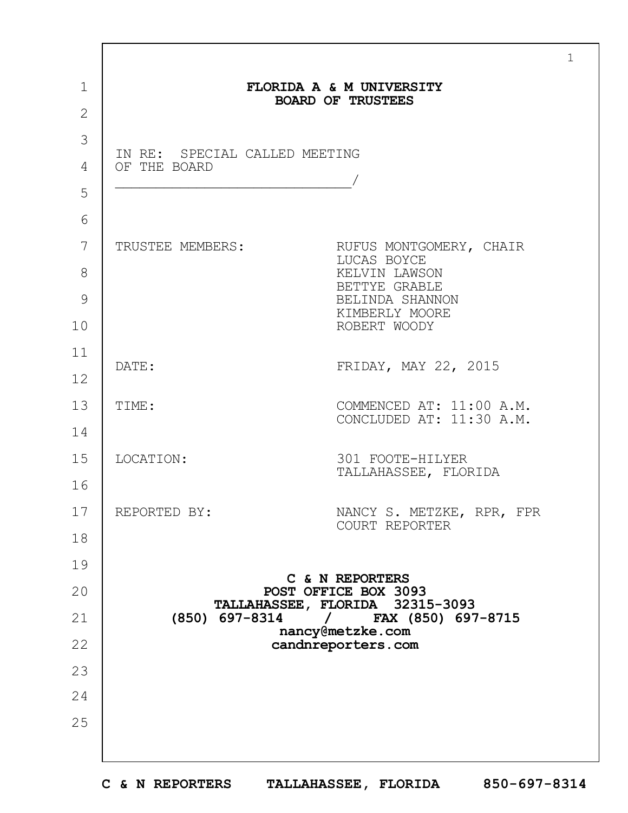|                                               | FLORIDA A & M UNIVERSITY<br><b>BOARD OF TRUSTEES</b>    |
|-----------------------------------------------|---------------------------------------------------------|
|                                               |                                                         |
| IN RE: SPECIAL CALLED MEETING<br>OF THE BOARD |                                                         |
|                                               |                                                         |
|                                               |                                                         |
|                                               |                                                         |
| TRUSTEE MEMBERS:                              | RUFUS MONTGOMERY, CHAIR<br>LUCAS BOYCE                  |
|                                               | KELVIN LAWSON<br>BETTYE GRABLE                          |
|                                               | BELINDA SHANNON<br>KIMBERLY MOORE                       |
|                                               | ROBERT WOODY                                            |
| DATE:                                         | FRIDAY, MAY 22, 2015                                    |
|                                               |                                                         |
| TIME:                                         | COMMENCED AT: 11:00 A.M.<br>CONCLUDED AT: 11:30 A.M.    |
|                                               |                                                         |
| LOCATION:                                     | 301 FOOTE-HILYER<br>TALLAHASSEE, FLORIDA                |
|                                               |                                                         |
| REPORTED BY:                                  | NANCY S. METZKE, RPR, FPR                               |
|                                               | COURT REPORTER                                          |
|                                               |                                                         |
|                                               | C & N REPORTERS<br>POST OFFICE BOX 3093                 |
| (850) 697-8314                                | TALLAHASSEE, FLORIDA 32315-3093<br>/ FAX (850) 697-8715 |
|                                               | nancy@metzke.com<br>candnreporters.com                  |
|                                               |                                                         |
|                                               |                                                         |
|                                               |                                                         |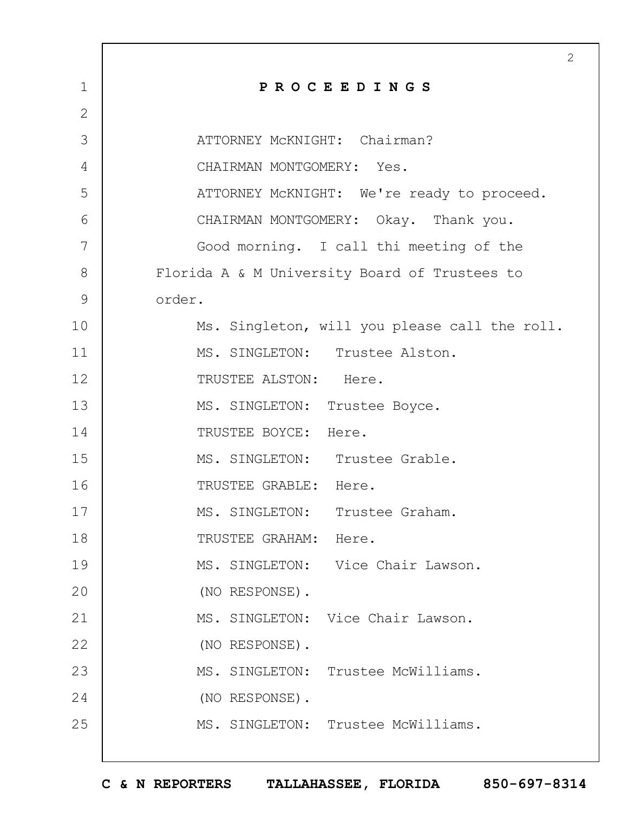|              | $\overline{2}$                                |
|--------------|-----------------------------------------------|
| $\mathbf 1$  | PROCEEDINGS                                   |
| $\mathbf{2}$ |                                               |
| 3            | ATTORNEY MCKNIGHT: Chairman?                  |
| 4            | CHAIRMAN MONTGOMERY: Yes.                     |
| 5            | ATTORNEY McKNIGHT: We're ready to proceed.    |
| 6            | CHAIRMAN MONTGOMERY: Okay. Thank you.         |
| 7            | Good morning. I call thi meeting of the       |
| 8            | Florida A & M University Board of Trustees to |
| 9            | order.                                        |
| 10           | Ms. Singleton, will you please call the roll. |
| 11           | MS. SINGLETON: Trustee Alston.                |
| 12           | TRUSTEE ALSTON: Here.                         |
| 13           | MS. SINGLETON: Trustee Boyce.                 |
| 14           | TRUSTEE BOYCE: Here.                          |
| 15           | MS. SINGLETON: Trustee Grable.                |
| 16           | TRUSTEE GRABLE: Here.                         |
| 17           | MS. SINGLETON: Trustee Graham.                |
| 18           | TRUSTEE GRAHAM: Here.                         |
| 19           | MS. SINGLETON: Vice Chair Lawson.             |
| 20           | (NO RESPONSE).                                |
| 21           | MS. SINGLETON: Vice Chair Lawson.             |
| 22           | (NO RESPONSE).                                |
| 23           | MS. SINGLETON: Trustee McWilliams.            |
| 24           | (NO RESPONSE).                                |
| 25           | MS. SINGLETON: Trustee McWilliams.            |
|              |                                               |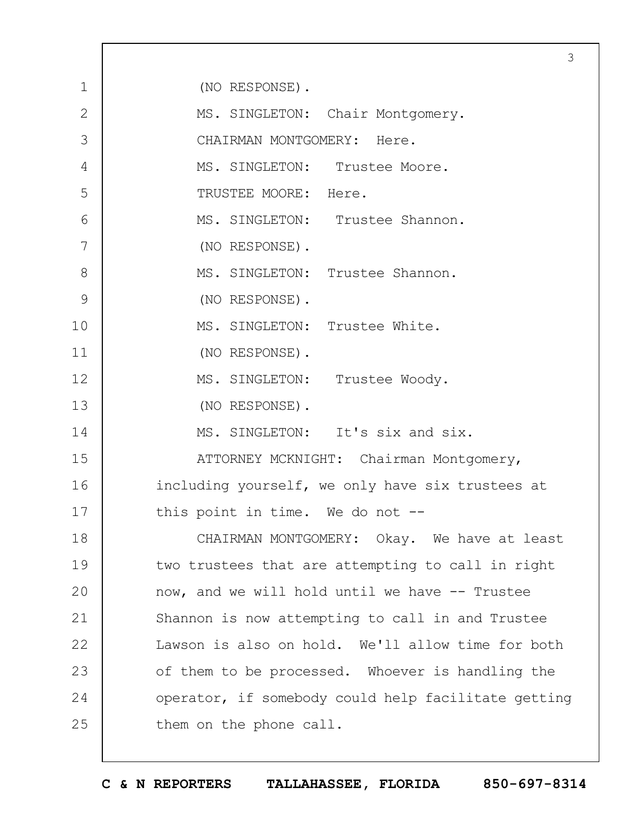|              |                                                     | 3 |
|--------------|-----------------------------------------------------|---|
| $\mathbf 1$  | (NO RESPONSE).                                      |   |
| $\mathbf{2}$ | MS. SINGLETON: Chair Montgomery.                    |   |
| 3            | CHAIRMAN MONTGOMERY: Here.                          |   |
| 4            | MS. SINGLETON: Trustee Moore.                       |   |
| 5            | TRUSTEE MOORE: Here.                                |   |
| 6            | MS. SINGLETON: Trustee Shannon.                     |   |
| 7            | (NO RESPONSE).                                      |   |
| 8            | MS. SINGLETON: Trustee Shannon.                     |   |
| 9            | (NO RESPONSE).                                      |   |
| 10           | MS. SINGLETON: Trustee White.                       |   |
| 11           | (NO RESPONSE).                                      |   |
| 12           | MS. SINGLETON: Trustee Woody.                       |   |
| 13           | (NO RESPONSE).                                      |   |
| 14           | MS. SINGLETON: It's six and six.                    |   |
| 15           | ATTORNEY MCKNIGHT: Chairman Montgomery,             |   |
| 16           | including yourself, we only have six trustees at    |   |
| 17           | this point in time. We do not --                    |   |
| 18           | CHAIRMAN MONTGOMERY: Okay. We have at least         |   |
| 19           | two trustees that are attempting to call in right   |   |
| 20           | now, and we will hold until we have -- Trustee      |   |
| 21           | Shannon is now attempting to call in and Trustee    |   |
| 22           | Lawson is also on hold. We'll allow time for both   |   |
| 23           | of them to be processed. Whoever is handling the    |   |
| 24           | operator, if somebody could help facilitate getting |   |
| 25           | them on the phone call.                             |   |
|              |                                                     |   |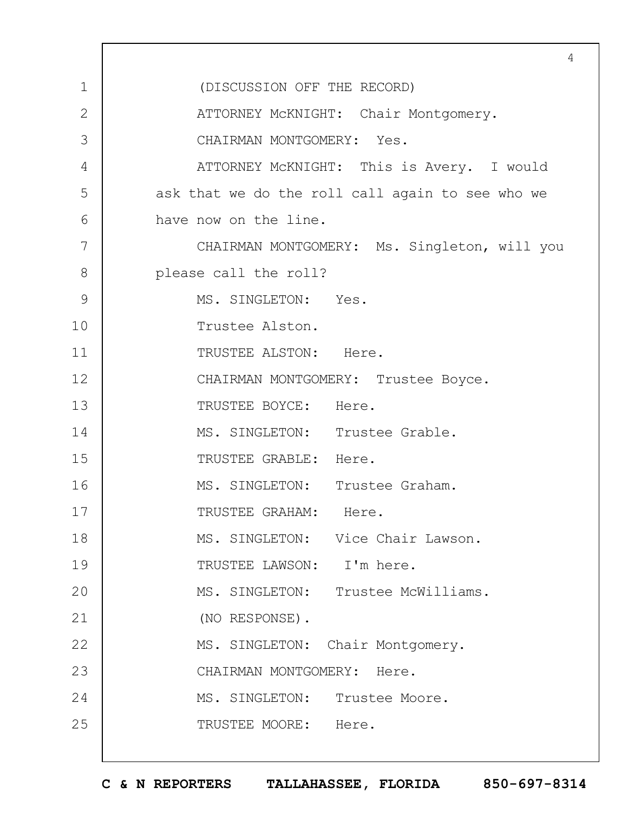1 2 3 4 5 6 7 8 9 10 11 12 13 14 15 16 17 18 19  $20$ 21 22 23 24 25 4 (DISCUSSION OFF THE RECORD) ATTORNEY McKNIGHT: Chair Montgomery. CHAIRMAN MONTGOMERY: Yes. ATTORNEY McKNIGHT: This is Avery. I would ask that we do the roll call again to see who we have now on the line. CHAIRMAN MONTGOMERY: Ms. Singleton, will you please call the roll? MS. SINGLETON: Yes. Trustee Alston. TRUSTEE ALSTON: Here. CHAIRMAN MONTGOMERY: Trustee Boyce. TRUSTEE BOYCE: Here. MS. SINGLETON: Trustee Grable. TRUSTEE GRABLE: Here. MS. SINGLETON: Trustee Graham. TRUSTEE GRAHAM: Here. MS. SINGLETON: Vice Chair Lawson. TRUSTEE LAWSON: I'm here. MS. SINGLETON: Trustee McWilliams. (NO RESPONSE). MS. SINGLETON: Chair Montgomery. CHAIRMAN MONTGOMERY: Here. MS. SINGLETON: Trustee Moore. TRUSTEE MOORE: Here.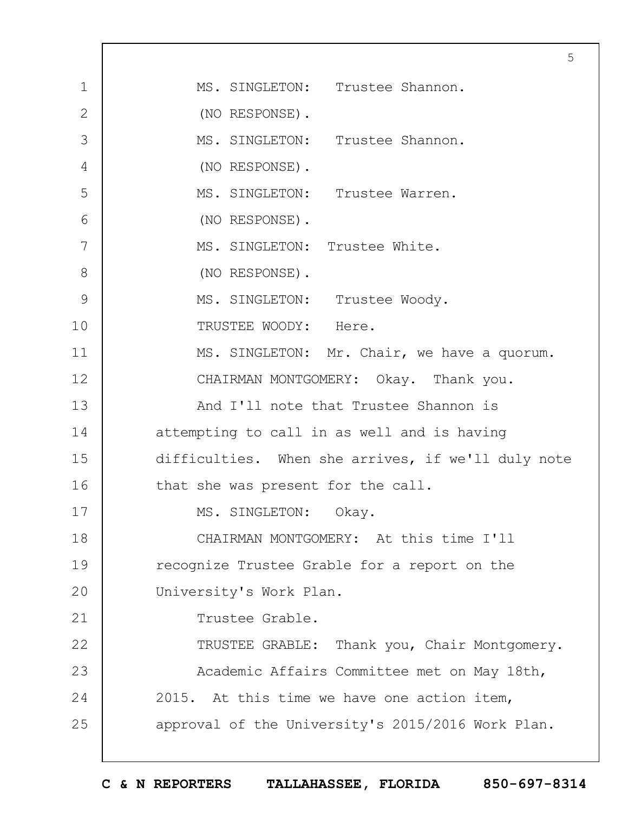1 2 3 4 5 6 7 8 9 10 11 12 13 14 15 16 17 18 19  $20$ 21 22 23 24 25 5 MS. SINGLETON: Trustee Shannon. (NO RESPONSE). MS. SINGLETON: Trustee Shannon. (NO RESPONSE). MS. SINGLETON: Trustee Warren. (NO RESPONSE). MS. SINGLETON: Trustee White. (NO RESPONSE). MS. SINGLETON: Trustee Woody. TRUSTEE WOODY: Here. MS. SINGLETON: Mr. Chair, we have a quorum. CHAIRMAN MONTGOMERY: Okay. Thank you. And I'll note that Trustee Shannon is attempting to call in as well and is having difficulties. When she arrives, if we'll duly note that she was present for the call. MS. SINGLETON: Okay. CHAIRMAN MONTGOMERY: At this time I'll recognize Trustee Grable for a report on the University's Work Plan. Trustee Grable. TRUSTEE GRABLE: Thank you, Chair Montgomery. Academic Affairs Committee met on May 18th, 2015. At this time we have one action item, approval of the University's 2015/2016 Work Plan.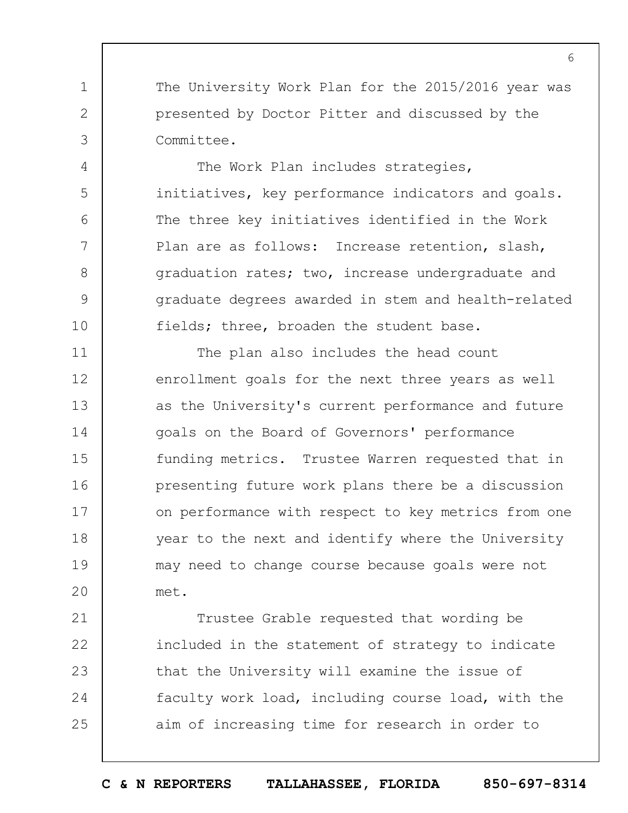The University Work Plan for the 2015/2016 year was presented by Doctor Pitter and discussed by the Committee.

1

2

3

4

5

6

7

8

9

10

The Work Plan includes strategies, initiatives, key performance indicators and goals. The three key initiatives identified in the Work Plan are as follows: Increase retention, slash, graduation rates; two, increase undergraduate and graduate degrees awarded in stem and health-related fields; three, broaden the student base.

11 12 13 14 15 16 17 18 19  $20$ The plan also includes the head count enrollment goals for the next three years as well as the University's current performance and future goals on the Board of Governors' performance funding metrics. Trustee Warren requested that in presenting future work plans there be a discussion on performance with respect to key metrics from one year to the next and identify where the University may need to change course because goals were not met.

21 22 23 24 25 Trustee Grable requested that wording be included in the statement of strategy to indicate that the University will examine the issue of faculty work load, including course load, with the aim of increasing time for research in order to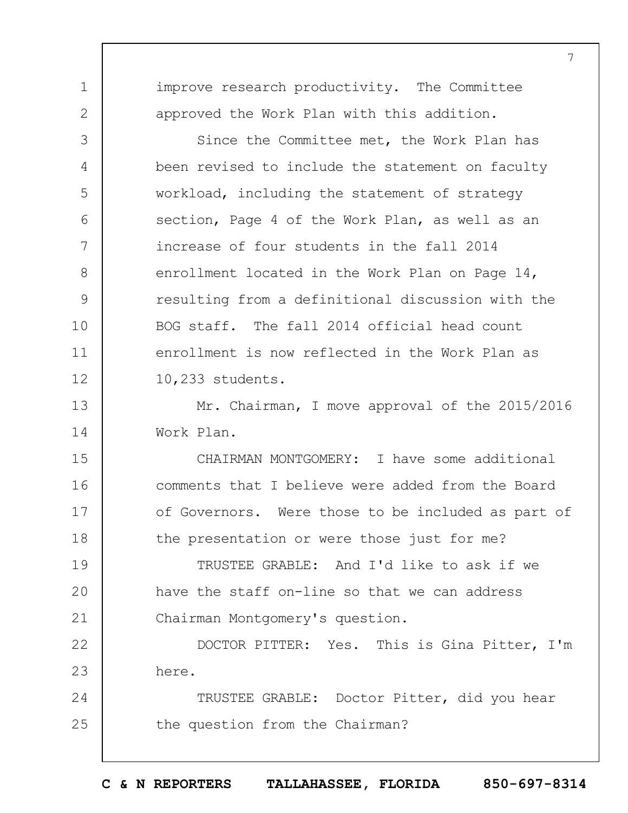improve research productivity. The Committee approved the Work Plan with this addition.

1

2

3

4

5

6

7

8

9

10

11

12

Since the Committee met, the Work Plan has been revised to include the statement on faculty workload, including the statement of strategy section, Page 4 of the Work Plan, as well as an increase of four students in the fall 2014 enrollment located in the Work Plan on Page 14, resulting from a definitional discussion with the BOG staff. The fall 2014 official head count enrollment is now reflected in the Work Plan as 10,233 students.

13 14 Mr. Chairman, I move approval of the 2015/2016 Work Plan.

15 16 17 18 CHAIRMAN MONTGOMERY: I have some additional comments that I believe were added from the Board of Governors. Were those to be included as part of the presentation or were those just for me?

19  $20$ 21 TRUSTEE GRABLE: And I'd like to ask if we have the staff on-line so that we can address Chairman Montgomery's question.

22 23 DOCTOR PITTER: Yes. This is Gina Pitter, I'm here.

24 25 TRUSTEE GRABLE: Doctor Pitter, did you hear the question from the Chairman?

**C & N REPORTERS TALLAHASSEE, FLORIDA 850-697-8314**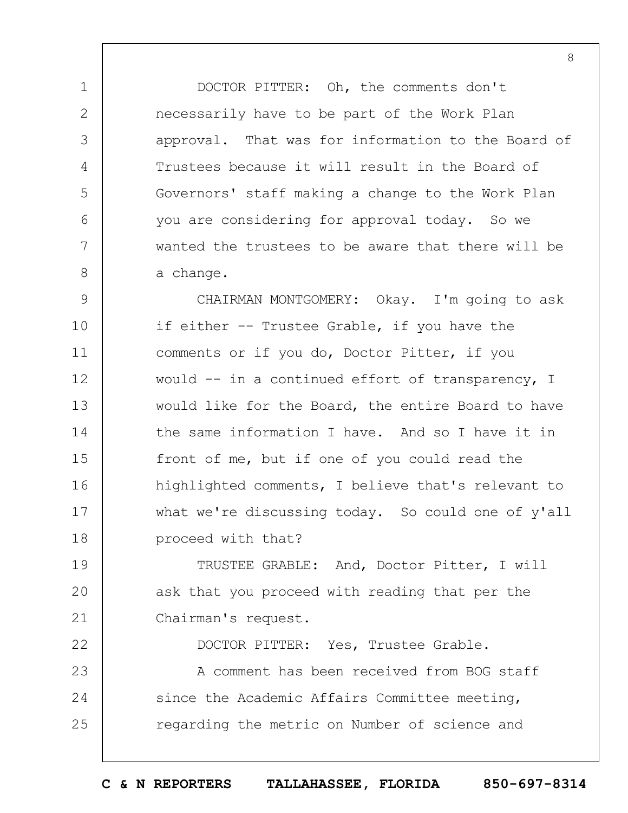DOCTOR PITTER: Oh, the comments don't necessarily have to be part of the Work Plan approval. That was for information to the Board of Trustees because it will result in the Board of Governors' staff making a change to the Work Plan you are considering for approval today. So we wanted the trustees to be aware that there will be a change.

1

2

3

4

5

6

7

8

9 10 11 12 13 14 15 16 17 18 CHAIRMAN MONTGOMERY: Okay. I'm going to ask if either -- Trustee Grable, if you have the comments or if you do, Doctor Pitter, if you would -- in a continued effort of transparency, I would like for the Board, the entire Board to have the same information I have. And so I have it in front of me, but if one of you could read the highlighted comments, I believe that's relevant to what we're discussing today. So could one of y'all proceed with that?

19  $20$ 21 TRUSTEE GRABLE: And, Doctor Pitter, I will ask that you proceed with reading that per the Chairman's request.

22 23 24 25 DOCTOR PITTER: Yes, Trustee Grable. A comment has been received from BOG staff since the Academic Affairs Committee meeting,

**C & N REPORTERS TALLAHASSEE, FLORIDA 850-697-8314**

regarding the metric on Number of science and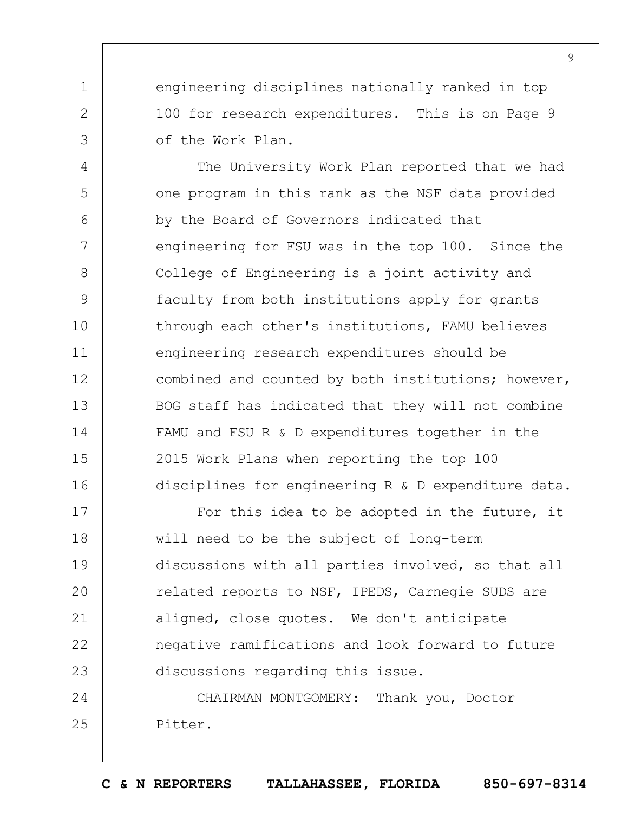engineering disciplines nationally ranked in top 100 for research expenditures. This is on Page 9 of the Work Plan.

1

2

3

4 5 6 7 8 9 10 11 12 13 14 15 16 The University Work Plan reported that we had one program in this rank as the NSF data provided by the Board of Governors indicated that engineering for FSU was in the top 100. Since the College of Engineering is a joint activity and faculty from both institutions apply for grants through each other's institutions, FAMU believes engineering research expenditures should be combined and counted by both institutions; however, BOG staff has indicated that they will not combine FAMU and FSU R & D expenditures together in the 2015 Work Plans when reporting the top 100 disciplines for engineering R & D expenditure data.

17 18 19  $20$ 21 22 23 For this idea to be adopted in the future, it will need to be the subject of long-term discussions with all parties involved, so that all related reports to NSF, IPEDS, Carnegie SUDS are aligned, close quotes. We don't anticipate negative ramifications and look forward to future discussions regarding this issue.

24 25 CHAIRMAN MONTGOMERY: Thank you, Doctor Pitter.

**C & N REPORTERS TALLAHASSEE, FLORIDA 850-697-8314**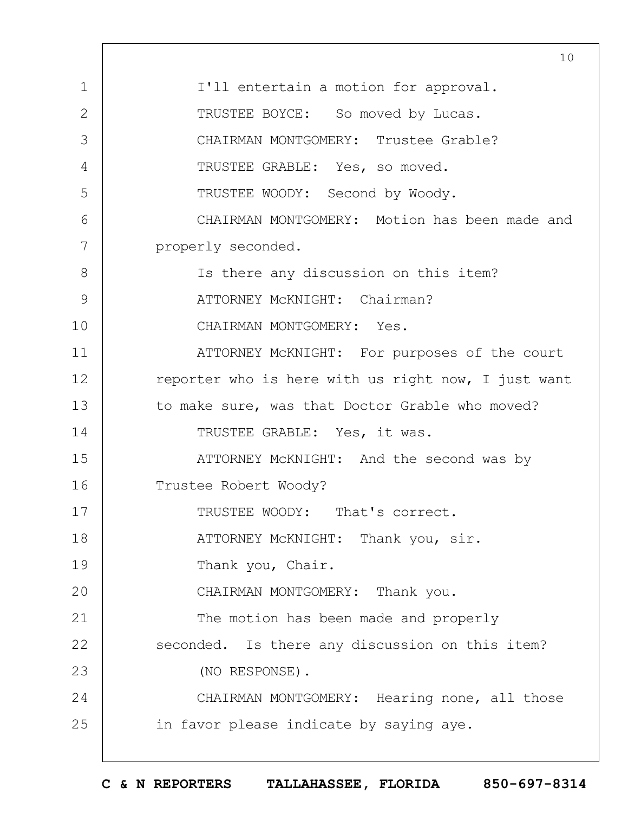|                | 10                                                  |
|----------------|-----------------------------------------------------|
| $\mathbf 1$    | I'll entertain a motion for approval.               |
| $\overline{2}$ | TRUSTEE BOYCE: So moved by Lucas.                   |
| 3              | CHAIRMAN MONTGOMERY: Trustee Grable?                |
| 4              | TRUSTEE GRABLE: Yes, so moved.                      |
| 5              | TRUSTEE WOODY: Second by Woody.                     |
| 6              | CHAIRMAN MONTGOMERY: Motion has been made and       |
| 7              | properly seconded.                                  |
| 8              | Is there any discussion on this item?               |
| $\mathsf 9$    | ATTORNEY MCKNIGHT: Chairman?                        |
| 10             | CHAIRMAN MONTGOMERY: Yes.                           |
| 11             | ATTORNEY MCKNIGHT: For purposes of the court        |
| 12             | reporter who is here with us right now, I just want |
| 13             | to make sure, was that Doctor Grable who moved?     |
| 14             | TRUSTEE GRABLE: Yes, it was.                        |
| 15             | ATTORNEY MCKNIGHT: And the second was by            |
| 16             | Trustee Robert Woody?                               |
| 17             | TRUSTEE WOODY: That's correct.                      |
| 18             | ATTORNEY MCKNIGHT: Thank you, sir.                  |
| 19             | Thank you, Chair.                                   |
| 20             | CHAIRMAN MONTGOMERY: Thank you.                     |
| 21             | The motion has been made and properly               |
| 22             | seconded. Is there any discussion on this item?     |
| 23             | (NO RESPONSE).                                      |
| 24             | CHAIRMAN MONTGOMERY: Hearing none, all those        |
| 25             | in favor please indicate by saying aye.             |
|                |                                                     |

 $\Gamma$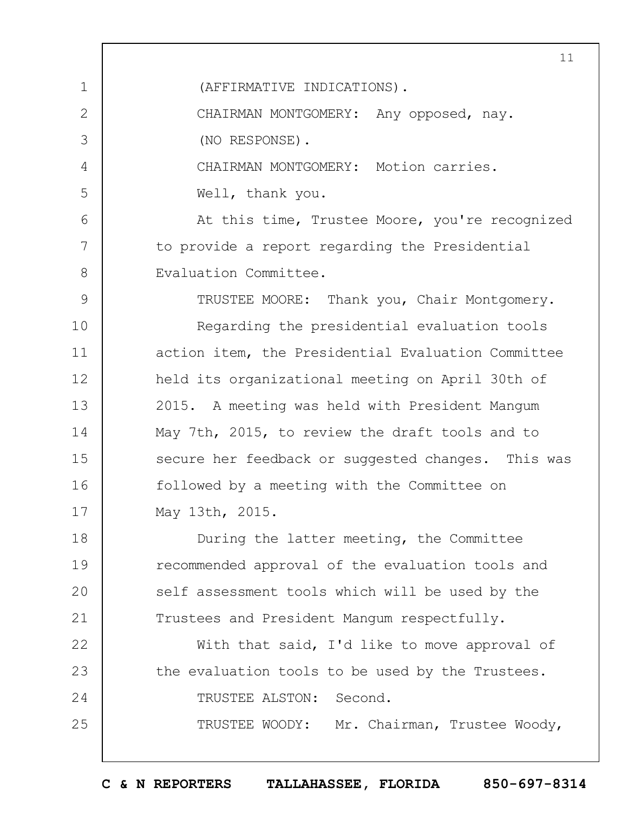1 2 3 4 5  $6 \overline{6}$ 7 8 9 10 11 12 13 14 15 16 17 18 19  $20$ 21 22 23 24 25 11 (AFFIRMATIVE INDICATIONS). CHAIRMAN MONTGOMERY: Any opposed, nay. (NO RESPONSE). CHAIRMAN MONTGOMERY: Motion carries. Well, thank you. At this time, Trustee Moore, you're recognized to provide a report regarding the Presidential Evaluation Committee. TRUSTEE MOORE: Thank you, Chair Montgomery. Regarding the presidential evaluation tools action item, the Presidential Evaluation Committee held its organizational meeting on April 30th of 2015. A meeting was held with President Mangum May 7th, 2015, to review the draft tools and to secure her feedback or suggested changes. This was followed by a meeting with the Committee on May 13th, 2015. During the latter meeting, the Committee recommended approval of the evaluation tools and self assessment tools which will be used by the Trustees and President Mangum respectfully. With that said, I'd like to move approval of the evaluation tools to be used by the Trustees. TRUSTEE ALSTON: Second. TRUSTEE WOODY: Mr. Chairman, Trustee Woody,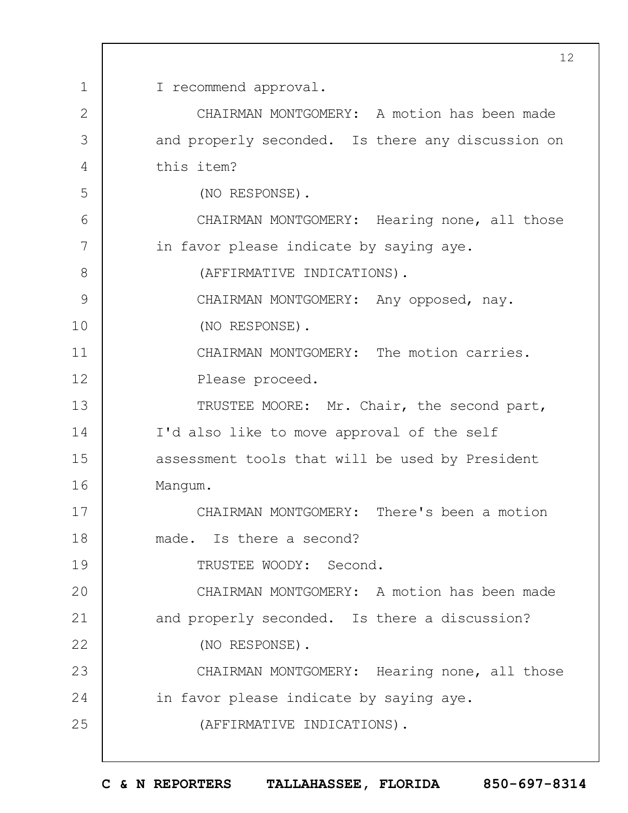1 2 3 4 5 6 7 8 9 10 11 12 13 14 15 16 17 18 19  $20$ 21 22 23 24 25 I recommend approval. CHAIRMAN MONTGOMERY: A motion has been made and properly seconded. Is there any discussion on this item? (NO RESPONSE). CHAIRMAN MONTGOMERY: Hearing none, all those in favor please indicate by saying aye. (AFFIRMATIVE INDICATIONS). CHAIRMAN MONTGOMERY: Any opposed, nay. (NO RESPONSE). CHAIRMAN MONTGOMERY: The motion carries. Please proceed. TRUSTEE MOORE: Mr. Chair, the second part, I'd also like to move approval of the self assessment tools that will be used by President Mangum. CHAIRMAN MONTGOMERY: There's been a motion made. Is there a second? TRUSTEE WOODY: Second. CHAIRMAN MONTGOMERY: A motion has been made and properly seconded. Is there a discussion? (NO RESPONSE). CHAIRMAN MONTGOMERY: Hearing none, all those in favor please indicate by saying aye. (AFFIRMATIVE INDICATIONS).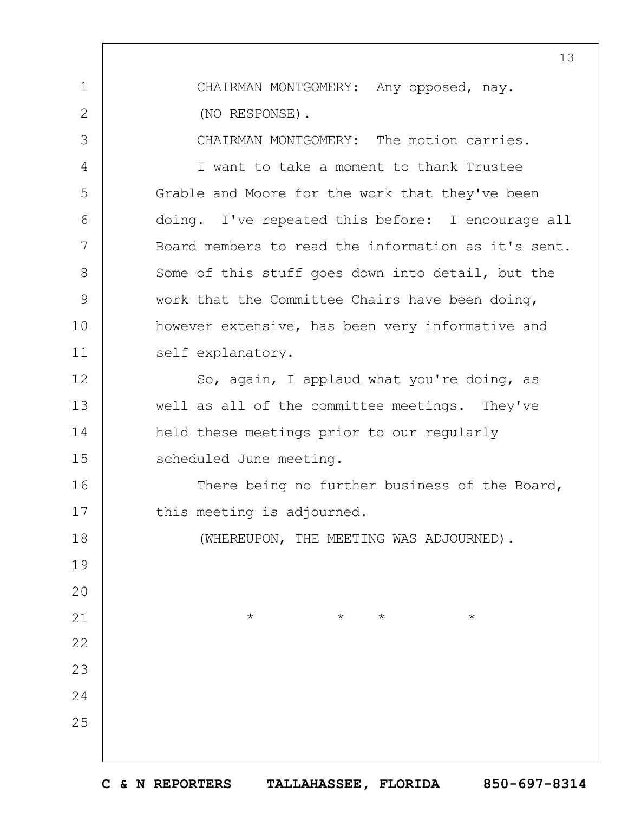1 2 3 4 5 6 7 8 9 10 11 12 13 14 15 16 17 18 19  $20$ 21 22 23 24 25 13 CHAIRMAN MONTGOMERY: Any opposed, nay. (NO RESPONSE). CHAIRMAN MONTGOMERY: The motion carries. I want to take a moment to thank Trustee Grable and Moore for the work that they've been doing. I've repeated this before: I encourage all Board members to read the information as it's sent. Some of this stuff goes down into detail, but the work that the Committee Chairs have been doing, however extensive, has been very informative and self explanatory. So, again, I applaud what you're doing, as well as all of the committee meetings. They've held these meetings prior to our regularly scheduled June meeting. There being no further business of the Board, this meeting is adjourned. (WHEREUPON, THE MEETING WAS ADJOURNED).  $\star$   $\star$   $\star$   $\star$